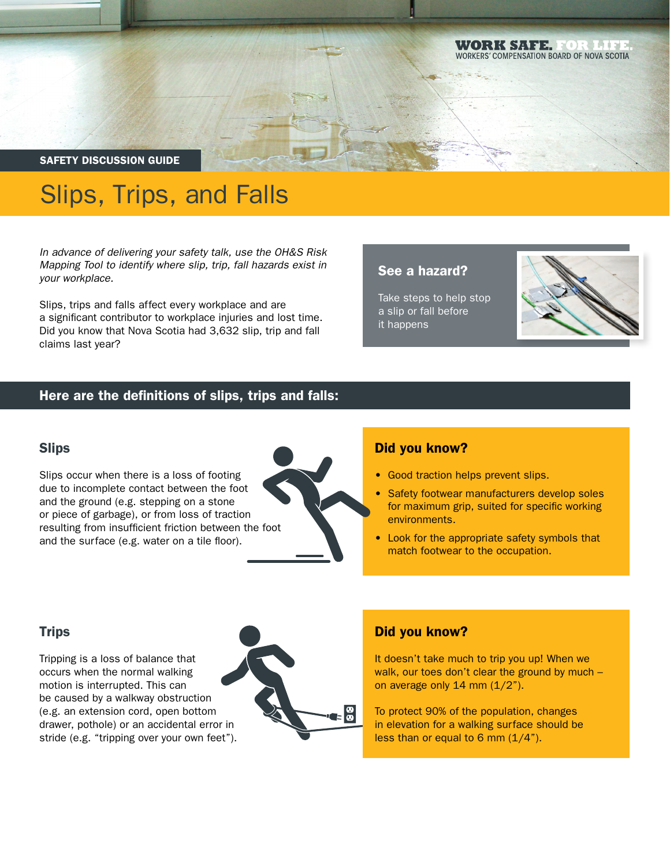#### WORKSHIER WORKERS' COMPENSATION BOARD OF NOVA SCOTIA

SAFETY DISCUSSION GUIDE

# Slips, Trips, and Falls

*In advance of delivering your safety talk, use the OH&S Risk Mapping Tool to identify where slip, trip, fall hazards exist in your workplace.*

Slips, trips and falls affect every workplace and are a significant contributor to workplace injuries and lost time. Did you know that Nova Scotia had 3,632 slip, trip and fall claims last year?

# See a hazard?

Take steps to help stop a slip or fall before it happens



# Here are the definitions of slips, trips and falls:

#### **Slips**

Slips occur when there is a loss of footing due to incomplete contact between the foot and the ground (e.g. stepping on a stone or piece of garbage), or from loss of traction resulting from insufficient friction between the foot and the surface (e.g. water on a tile floor).



#### Did you know?

- Good traction helps prevent slips.
- Safety footwear manufacturers develop soles for maximum grip, suited for specific working environments.
- Look for the appropriate safety symbols that match footwear to the occupation.

# **Trips**

Tripping is a loss of balance that occurs when the normal walking motion is interrupted. This can be caused by a walkway obstruction (e.g. an extension cord, open bottom drawer, pothole) or an accidental error in stride (e.g. "tripping over your own feet").



# Did you know?

It doesn't take much to trip you up! When we walk, our toes don't clear the ground by much on average only  $14$  mm  $(1/2)$ .

To protect 90% of the population, changes in elevation for a walking surface should be less than or equal to 6 mm  $(1/4")$ .